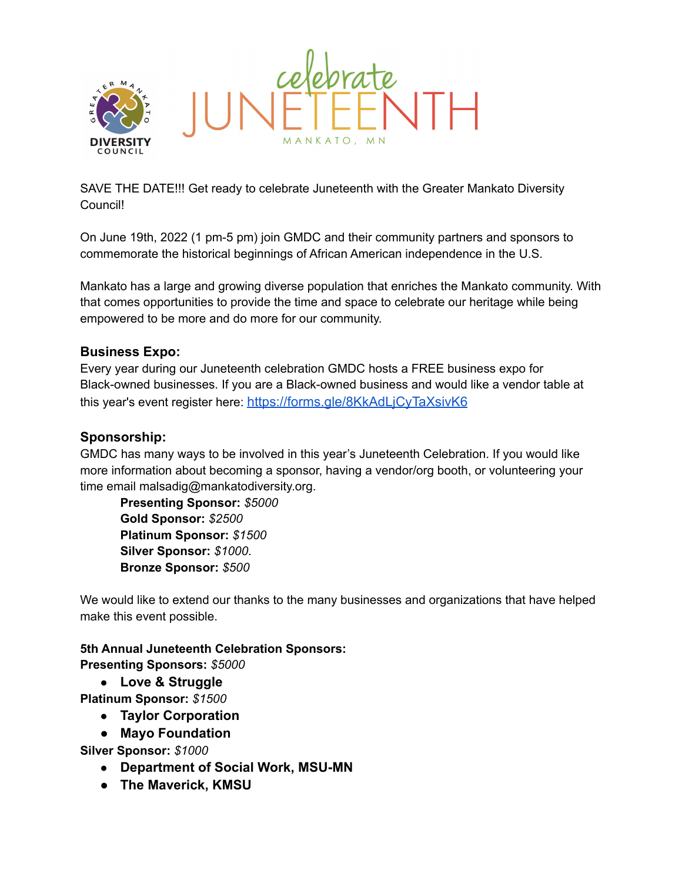

SAVE THE DATE!!! Get ready to celebrate Juneteenth with the Greater Mankato Diversity Council!

On June 19th, 2022 (1 pm-5 pm) join GMDC and their community partners and sponsors to commemorate the historical beginnings of African American independence in the U.S.

Mankato has a large and growing diverse population that enriches the Mankato community. With that comes opportunities to provide the time and space to celebrate our heritage while being empowered to be more and do more for our community.

## **Business Expo:**

Every year during our Juneteenth celebration GMDC hosts a FREE business expo for Black-owned businesses. If you are a Black-owned business and would like a vendor table at this year's event register here: <https://forms.gle/8KkAdLjCyTaXsivK6>

## **Sponsorship:**

GMDC has many ways to be involved in this year's Juneteenth Celebration. If you would like more information about becoming a sponsor, having a vendor/org booth, or volunteering your time email malsadig@mankatodiversity.org.

**Presenting Sponsor:** *\$5000* **Gold Sponsor:** *\$2500* **Platinum Sponsor:** *\$1500* **Silver Sponsor:** *\$1000*. **Bronze Sponsor:** *\$500*

We would like to extend our thanks to the many businesses and organizations that have helped make this event possible.

## **5th Annual Juneteenth Celebration Sponsors: Presenting Sponsors:** *\$5000*

● **Love & Struggle**

**Platinum Sponsor:** *\$1500*

- **Taylor Corporation**
- **● Mayo Foundation**

**Silver Sponsor:** *\$1000*

- **Department of Social Work, MSU-MN**
- **● The Maverick, KMSU**